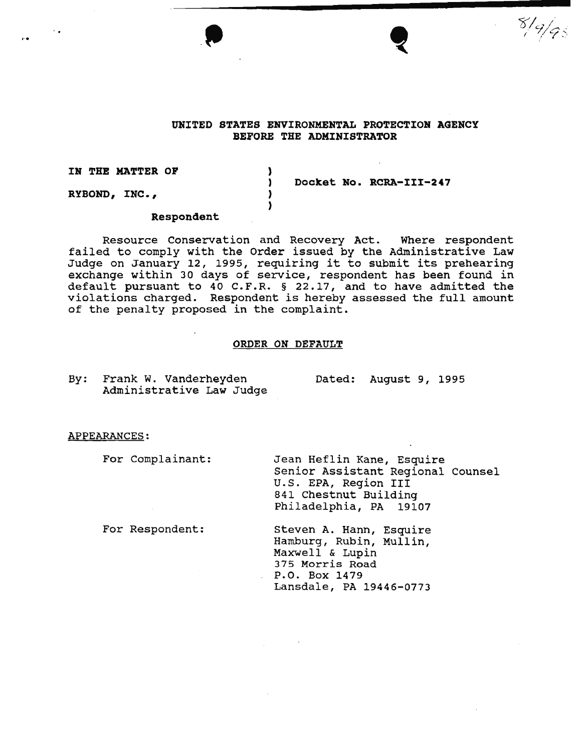



 $8/9/95$ 

# UNITED STATES ENVIRONMENTAL PROTECTION AGENCY BEFORE THE ADMINISTRATOR

IN THE MATTER OP

RYBOND, INC.,

' . ..•

Docket No. RCRA-III-247

#### Respondent

Resource Conservation and Recovery Act. Where respondent failed to comply with the order issued by the Administrative Law Judge on January 12, 1995, requiring it to submit its prehearing exchange within 30 days of service, respondent has been found in default pursuant to 40 C.F.R. § 22.17, and to have admitted the violations charged. Respondent is hereby assessed the full amount of the penalty proposed in the complaint.

) ) ) )

### ORDER ON DEFAULT

By: Frank W. Vanderheyden Administrative Law Judge Dated: August 9, 1995

#### APPEARANCES:

For Complainant:

For Respondent:

Jean Heflin Kane, Esquire Senior Assistant Regional Counsel U.S. EPA, Region III 841 Chestnut Building Philadelphia, PA 19107

Steven A. Hann, Esquire Hamburg, Rubin, Mullin, Maxwell & Lupin 375 Morris Road P.O. Box 1479 Lansdale, PA 19446-0773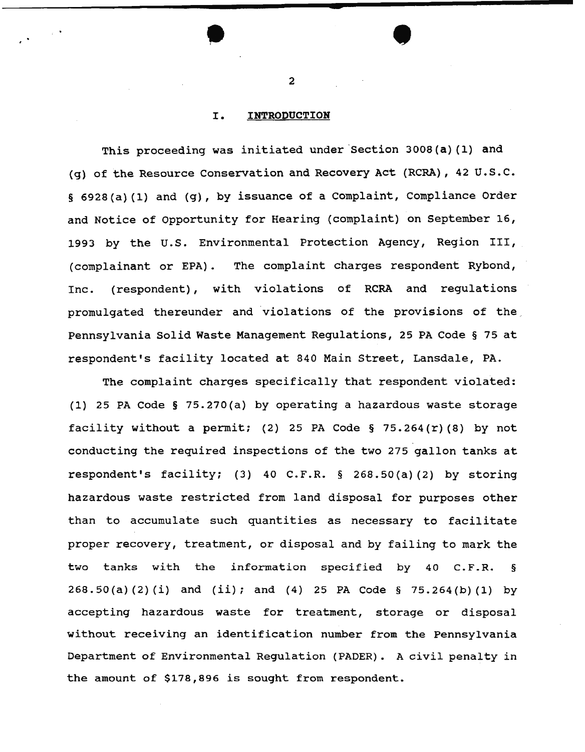### I. **INTRODUCTION**

This proceeding was initiated under Section 3008(a)(1) and (g) of the Resource Conservation and Recovery Act (RCRA), 42 U.S.C. § 6928(a) (1) and (g), by issuance of a Complaint, Compliance Order and Notice of Opportunity for Hearing {complaint) on September 16, 1993 by the u.s. Environmental Protection Agency, Region III, (complainant or EPA). The complaint charges respondent Rybond, Inc. (respondent), with violations of RCRA and regulations promulgated thereunder and violations of the provisions of the Pennsylvania Solid Waste Management Regulations, 25 PA Code § 75 at respondent's facility located at 840 Main Street, Lansdale, PA.

The complaint charges specifically that respondent violated: (1) 25 PA Code § 75.270(a) by operating a hazardous waste storage facility without a permit; (2) 25 PA Code § 75.264(r)(8) by not conducting the required inspections of the two 275 gallon tanks at respondent's facility; (3) 40 C.F.R. § 268.50(a) (2) by storing hazardous waste restricted from land disposal for purposes other than to accumulate such quantities as necessary to facilitate proper recovery, treatment, or disposal and by failing to mark the two tanks with the information specified by 40 C.F.R. § 268.50(a) (2) (i) and (ii); and (4) 25 PA Code § 75.264(b) (1) by accepting hazardous waste for treatment, storage or disposal without receiving an identification number from the Pennsylvania Department of Environmental Regulation (PADER). A civil penalty in the amount of \$178,896 is sought from respondent.

2

 $\bullet$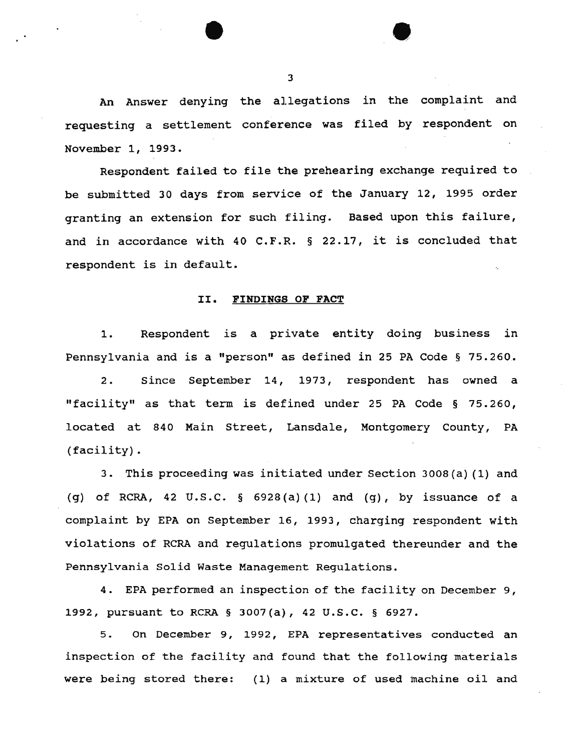An Answer denying the allegations in the complaint and requesting a settlement conference was filed by respondent on November 1, 1993.

Respondent failed to file the prehearing exchange required to be submitted 30 days from service of the January 12, 1995 order granting an extension for such filing. Based upon this failure, and in accordance with 40 C.F.R. § 22.17, it is concluded that respondent is in default.

#### II. FINDINGS OF FACT

1. Respondent is a private entity doing business in Pennsylvania and is a "person" as defined in 25 PA Code § 75.260.

2. Since September 14, 1973, respondent has owned a "facility" as that term is defined under 25 PA Code § 75.260, located at 840 Main Street, Lansdale, Montgomery County, PA (facility).

3. This proceeding was initiated under Section 3008(a) (1) and (g) of RCRA, 42 U.S.C.  $\S$  6928(a)(1) and (g), by issuance of a complaint by EPA on September 16, 1993, charging respondent with violations of RCRA and regulations promulgated thereunder and the Pennsylvania Solid Waste Management Regulations.

4. EPA performed an inspection of the facility on December 9, 1992, pursuant to RCRA § 3007(a), 42 u.s.c. § 6927.

5. On December 9, 1992, EPA representatives conducted an inspection of the facility and found that the following materials were being stored there: (1) a mixture of used machine oil and

3

 $\bullet$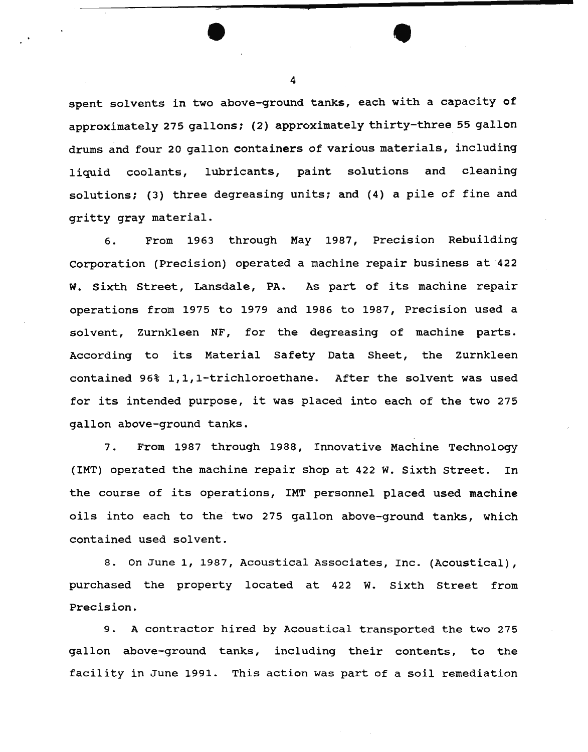spent solvents in two above-ground tanks, each with a capacity of approximately 275 gallons; (2) approximately thirty-three 55 gallon drums and four 20 gallon containers of various materials, including liquid coolants, lubricants, paint solutions and cleaning solutions; (3) three degreasing units; and (4) a pile of fine and gritty gray material.

6. From 1963 through May 1987, Precision Rebuilding Corporation (Precision) operated a machine repair business at 422 w. sixth Street, Lansdale, PA. As part of its machine repair operations from 1975 to 1979 and 1986 to 1987, Precision used a solvent, Zurnkleen NF, for the degreasing of machine parts. According to its Material Safety Data Sheet, the zurnkleen contained 96% 1,1,1-trichloroethane. After the solvent was used for its intended purpose, it was placed into each of the two 275 gallon above-ground tanks.

7. From 1987 through 1988, Innovative Machine Technology (IMT) operated the machine repair shop at 422 w. Sixth street. In the course of its operations, IMT personnel placed used machine oils into each to the two 275 gallon above-ground tanks, which contained used solvent.

8. On June 1, 1987, Acoustical Associates, Inc. (Acoustical), purchased the property located at 422 w. Sixth Street from Precision.

9. A contractor hired by Acoustical transported the two 275 gallon above-ground tanks, including their contents, to the facility in June 1991. This action was part of a soil remediation

4

•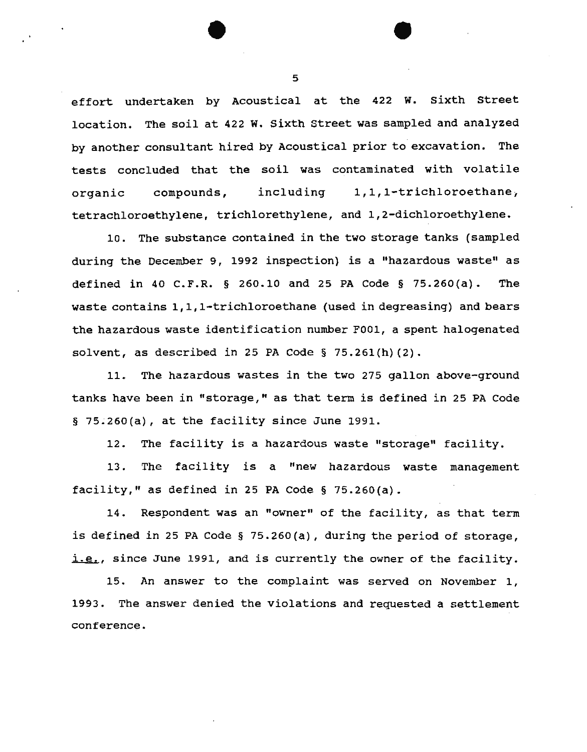effort undertaken by Acoustical at the 422 w. sixth Street location. The soil at 422 w. Sixth Street was sampled and analyzed by another consultant hired by Acoustical prior to- excavation. The tests concluded that the soil was contaminated with volatile organic compounds, including 1,1,1-trichloroethane, tetrachloroethylene, trichlorethylene, and 1,2-dichloroethylene.

10. The substance contained in the two storage tanks (sampled during the December 9, 1992 inspection) is a "hazardous waste" as defined in 40 C.F.R. § 260.10 and 25 PA Code § 75.260(a). The waste contains 1, 1, 1-trichloroethane (used in degreasing) and bears the hazardous waste identification number FOOl, a spent halogenated solvent, as described in 25 PA Code  $\S$  75.261(h)(2).

11. The hazardous wastes in the two 275 gallon above-ground tanks have been in "storage," as that term is defined in 25 PA Code § 75.260(a), at the facility since June 1991.

12. The facility is a hazardous waste "storage" facility.

13. The facility is a "new hazardous waste management facility," as defined in 25 PA Code  $\S$  75.260(a).

14. Respondent was an "owner" of the facility, as that term is defined in 25 PA Code § 75.260(a), during the period of storage, i.e., since June 1991, and is currently the owner of the facility.

15. An answer to the complaint was served on November 1, 1993. The answer denied the violations and requested a settlement conference.

5

•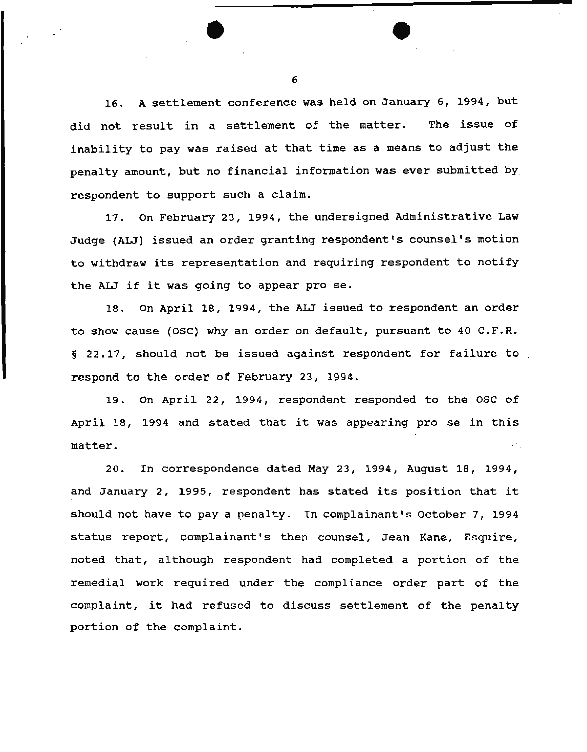16. A settlement conference was held on January 6, 1994, but did not result in a settlement of the matter. The issue of inability to pay was raised at that time as a means to adjust the penalty amount, but no financial information was ever submitted by respondent to support such a claim.

17. on February 23, 1994, the undersigned Administrative Law Judge (ALJ) issued an order granting respondent's counsel's motion to withdraw its representation and requiring respondent to notify the ALJ if it was going to appear pro se.

18. On April 18, 1994, the ALJ issued to respondent an order to show cause (OSC) why an order on default, pursuant to 40 C.F.R. § 22.17, should not be issued against respondent for failure to respond to the order of February 23, 1994.

19. On April 22, 1994, respondent responded to the osc of April 18, 1994 and stated that it was appearing pro se in this matter.

20. In correspondence dated May 23, 1994, August 18, 1994, and January 2, 1995, respondent has stated its position that it should not have to pay a penalty. In complainant's October 7, 1994 status report, complainant's then counsel, Jean Kane, Esquire, noted that, although respondent had completed a portion of the remedial work required under the compliance order part of the complaint, it had refused to discuss settlement of the penalty portion of the complaint.

6

•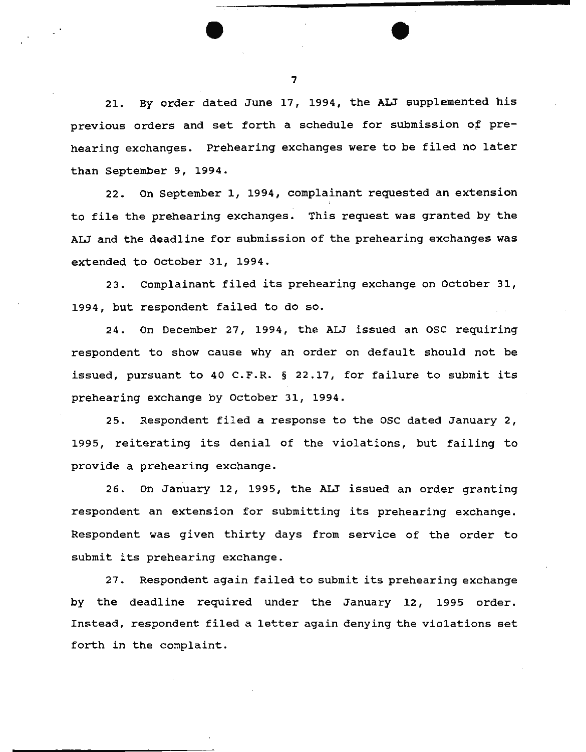21. By order dated June 17, 1994, the ALJ supplemented his previous orders and set forth a schedule for submission of prehearing exchanges. Prehearing exchanges were to be filed no later than September 9, 1994.

22. on September 1, 1994, complainant requested an extension to file the prehearing exchanges. This request was granted by the ALJ and the deadline for submission of the prehearing exchanges was extended to october 31, 1994.

23. Complainant filed its prehearing exchange on October 31, 1994, but respondent failed to do so.

24. On December 27, 1994, the ALJ issued an OSC requiring respondent to show cause why an order on default should not be issued, pursuant to 40 C.F.R. § 22.17, for failure to submit its prehearing exchange by October 31, 1994.

25. Respondent filed a response to the OSC dated January 2, 1995, reiterating its denial of the violations, but failing to provide a prehearing exchange.

26. On January 12, 1995, the ALJ issued an order granting respondent an extension for submitting its prehearing exchange. Respondent was given thirty days from service of the order to submit its prehearing exchange.

27. Respondent again failed to submit its prehearing exchange by the deadline required under the January 12, 1995 order. Instead, respondent filed a letter again denying the violations set forth in the complaint.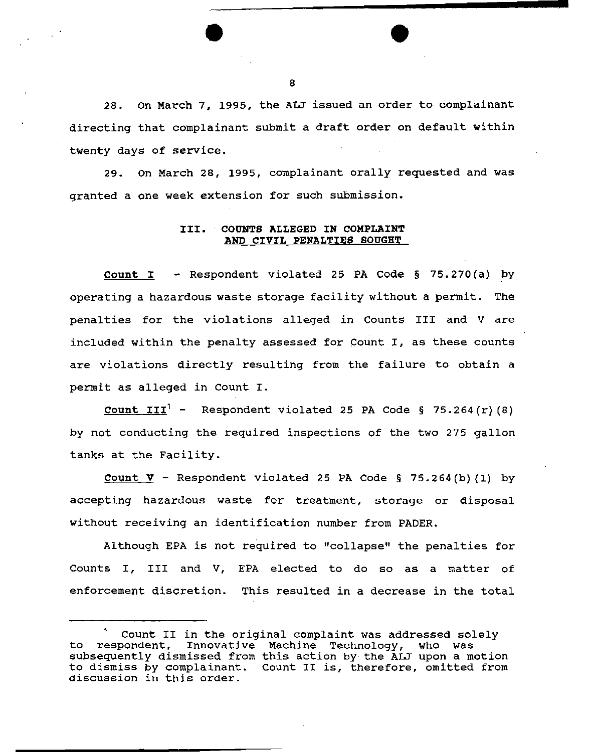28. on March 7, 1995, the ALJ issued an order to complainant directing that complainant submit a draft order on default within twenty days of service.

29. On March 28, 1995, complainant orally requested and was granted a one week extension for such submission.

# III. COUNTS ALLEGED IN COMPLAINT AND CIVIL PENALTIES SOUGHT

Count I - Respondent violated 25 PA Code § 75.270(a) by operating a hazardous waste storage facility without a permit. The penal ties for the violations alleged in Counts III and V are included within the penalty assessed for Count I, as these counts are violations directly resulting from the failure to obtain a permit as alleged in Count I.

**Count III<sup>1</sup>** - Respondent violated 25 PA Code § 75.264(r)(8) by not conducting the required inspections of the. two 275 gallon tanks at the Facility.

Count  $\nabla$  - Respondent violated 25 PA Code § 75.264(b)(1) by accepting hazardous waste for treatment, storage or disposal without receiving an identification number from PADER.

Although EPA is not required to "collapse" the penalties for Counts I, III and V, EPA elected to do so as a matter of enforcement discretion. This resulted in a decrease in the total

Count II in the original complaint was addressed solely to respondent, Innovative Machine Technology, who was subsequently dismissed from this action by the ALJ upon a motion to dismiss by complainant. count II is, therefore, omitted from discussion in this order.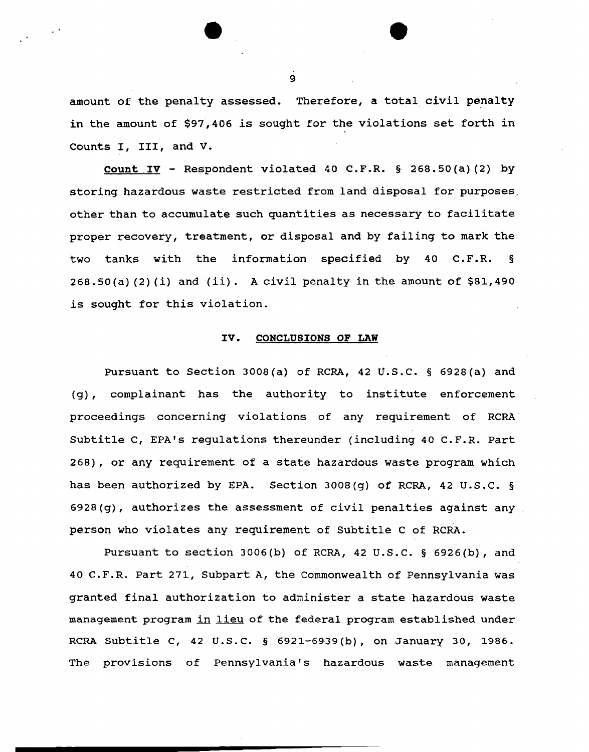amount of the penalty assessed. Therefore, a total civil penalty in the amount of \$97,406 is sought for the violations set forth in Counts I, III, and V.

Count  $IV -$  Respondent violated 40 C.F.R. § 268.50(a)(2) by storing hazardous waste restricted from land disposal for purposes, other than to accumulate such quantities as necessary to facilitate proper recovery, treatment, or disposal and by failing to mark the two tanks with the information specified by 40 C.F.R. §  $268.50(a)$  (2)(i) and (ii). A civil penalty in the amount of  $$81,490$ is sought for this violation.

#### IV. CONCLUSIONS OF LAW

Pursuant to Section 3008(a) of RCRA, 42 U.S.C. § 6928(a) and (g) , complainant has the authority to institute enforcement proceedings concerning violations of any requirement of RCRA Subtitle c, EPA's regulations thereunder (including 40 C.F.R. Part 268), or any requirement of a state hazardous waste program which has been authorized by EPA. Section 3008(g) of RCRA, 42 U.S.C. § 6928(g), authorizes the assessment of civil penalties against any person who violates any requirement of Subtitle c of RCRA.

Pursuant to section 3006(b) of RCRA, 42 U.S.C. § 6926(b), and 40 C.F.R. Part 271, Subpart A, the Commonwealth of Pennsylvania was granted final authorization to administer a state hazardous waste management program in lieu of the federal program established under RCRA Subtitle c, 42 u.s.c. § 6921-6939(b), on January 30, 1986. The provisions of Pennsylvania's hazardous waste management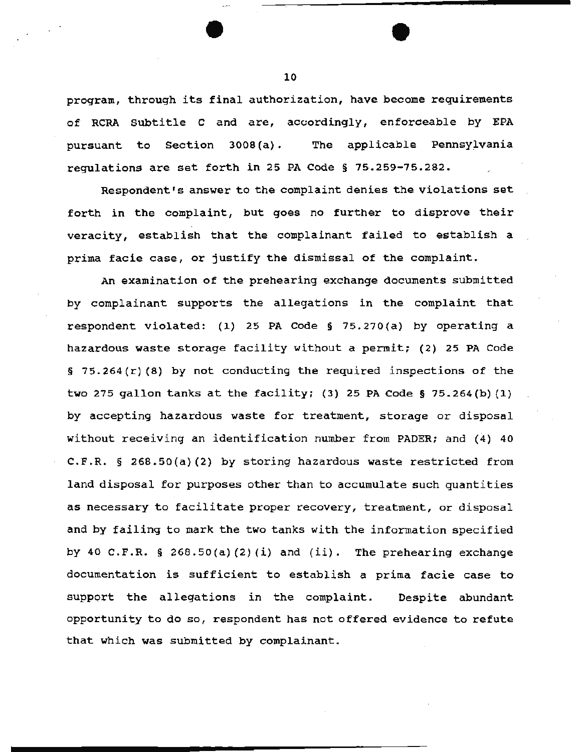program, through its final authorization, have become requirements of RCRA Subtitle c and are, accordingly, enforceable by EPA pursuant to Section 3008(a). The applicable Pennsylvania regulations are set forth in 25 PA Code § 75.259-75.282.

Respondent's answer to the complaint denies the violations set forth in the complaint, but goes no further to disprove their veracity, establish that the complainant failed to establish a prima facie case, or justify the dismissal of the complaint.

An examination of the prehearing exchange documents submitted by complainant supports the allegations in the complaint that respondent violated: (1) 25 PA Code§ 75.270(a) by operating a hazardous waste storage facility without a permit; (2) 25 PA Code § 75.264(r) (8) by not conducting the required inspections of the two 275 gallon tanks at the facility; (3) 25 PA Code§ 75.264{b) (1) by accepting hazardous waste for treatment, storage or disposal without receiving an identification number from PADER; and (4) 40 C.F.R. § 268.50(a) (2) by storing hazardous waste restricted from land disposal for purposes other than to accumulate such quantities· as necessary to facilitate proper recovery, treatment, or disposal and by failing to mark the two tanks with the information specified by 40 C.F.R. § 268.50(a)(2)(i) and (ii). The prehearing exchange documentation is sufficient to establish a prima facie case to support the allegations in the complaint. Despite abundant opportunity to do so, respondent has not offered evidence to refute that which was submitted by complainant.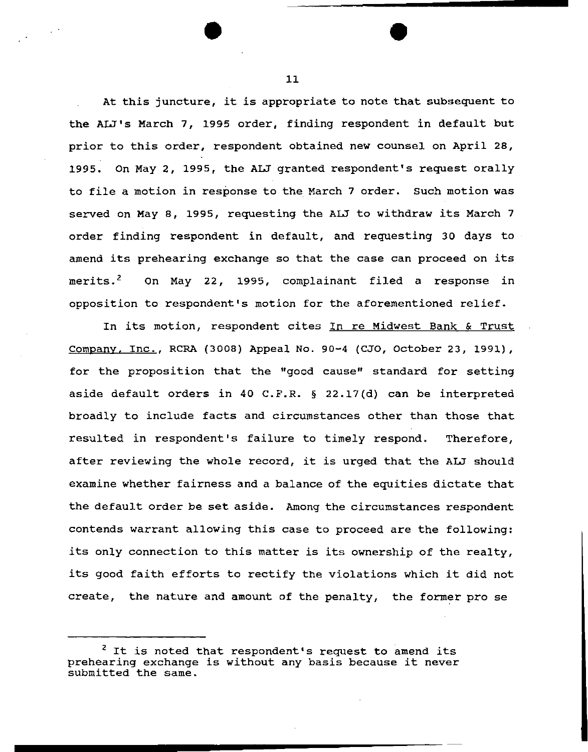At this juncture, it is appropriate to note that subsequent to the ALJ's March 7, 1995 order, finding respondent in default but prior to this order, respondent obtained new counsel on April 28, 1995. On May 2, 1995, the ALJ granted respondent's request orally to file a motion in response to the March 7 order. Such motion was served on May 8, 1995, requesting the ALJ to withdraw its March 7 order finding respondent in default, and requesting 30 days to amend its prehearing exchange so that the case can proceed on its merits.<sup>2</sup> On May 22, 1995, complainant filed a response in opposition to respondent's motion for the aforementioned relief.

In its motion, respondent cites In re Midwest Bank & Trust Company, Inc., RCRA (3008) Appeal No. 90-4 {CJO, October 23, 1991), for the proposition that the "good cause" standard for setting aside default orders in 40 C.F.R. § 22.17(d) can be interpreted broadly to include facts and circumstances other than those that resulted in respondent's failure to timely respond. Therefore, after reviewing the whole record, it is urged that the ALJ should examine whether fairness and a balance of the equities dictate that the default order be set aside. Among the circumstances respondent contends warrant allowing this case to proceed are the following: its only connection to this matter is its ownership of the realty, its good faith efforts to rectify the violations which it did not create, the nature and amount of the penalty, the former pro se

<sup>&</sup>lt;sup>2</sup> It is noted that respondent's request to amend its prehearing exchange is without any basis because it never submitted the same.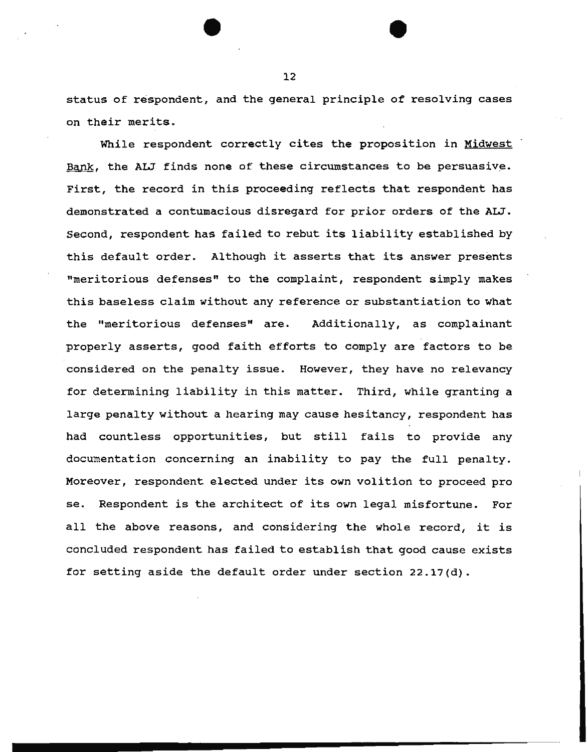status of respondent, and the general principle of resolving cases on their merits.

While respondent correctly cites the proposition in Midwest Bank, the ALJ finds none of these circumstances to be persuasive. First, the record in this proceeding reflects that respondent has demonstrated a contumacious disregard for prior orders of the ALJ. Second, respondent has failed to rebut its liability established by this default order. Although it asserts that its answer presents "meritorious defenses" to the complaint, respondent simply makes this baseless claim without any reference or substantiation to what the "meritorious defenses" are. Additionally, as complainant properly asserts, good faith efforts to comply are factors to be considered on the penalty issue. However, they have no relevancy for determining liability in this matter. Third, while granting a large penalty without a hearing may cause hesitancy, respondent has had countless opportunities, but still fails to provide any documentation concerning an inability to pay the full penalty. Moreover, respondent elected under its own volition to proceed pro se. Respondent is the architect of its own legal misfortune. For all the above reasons, and considering the whole record, it is concluded respondent has failed to establish that good cause exists for setting aside the default order under section 22.17(d).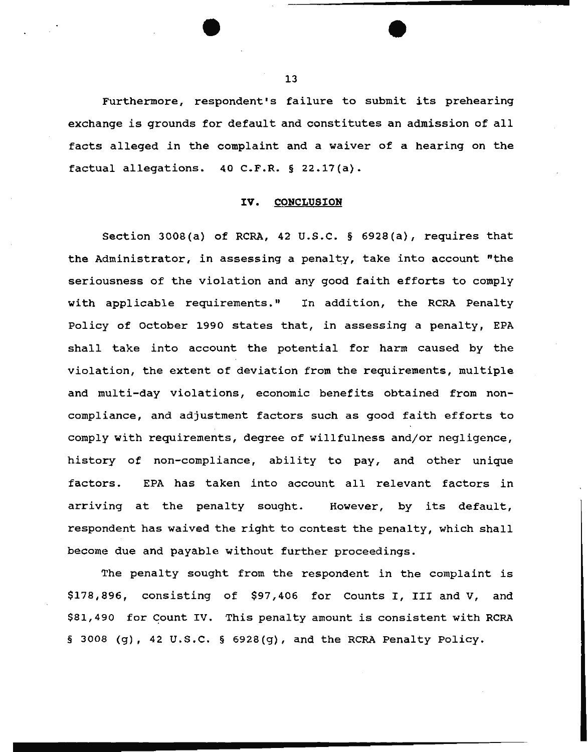Furthermore, respondent's failure to submit its prehearing exchange is grounds for default and constitutes an admission of all facts alleged in the complaint and a waiver of a hearing on the factual allegations. 40 C.F.R. § 22.17(a).

#### IV. CONCLUSION

Section JOOS(a) of RCRA, 42 u.s.c. § 6928(a), requires that the Administrator, in assessing a penalty, take into account "the seriousness of the violation and any good faith efforts to comply with applicable requirements." In addition, the RCRA Penalty Policy of october 1990 states that, in assessing a penalty, EPA shall take into account the potential for harm caused by the violation, the extent of deviation from the requirements, multiple and multi-day violations, economic benefits obtained from noncompliance, and adjustment factors such as good faith efforts to comply with requirements, degree of willfulness and/or negligence, history of non-compliance, ability to pay, and other unique factors. EPA has taken into account all relevant factors in arriving at the penalty sought. However, by its default, respondent has waived the right to contest the penalty, which shall become due and payable without further proceedings.

The penalty sought from the respondent in the complaint is \$178,896, consisting of \$97,406 for Counts I, III and v, and \$81,490 for Count IV. This penalty amount is consistent with RCRA § 3008 (g), 42 U.S.C. § 6928(g), and the RCRA Penalty Policy.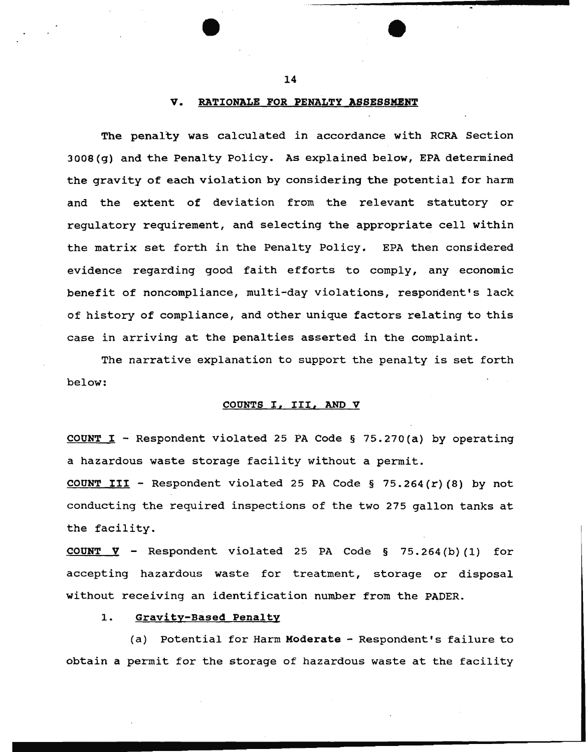### V. RATIONALE FOR PENALTY ASSESSMENT

The penalty was calculated in accordance with RCRA Section 3008 (g) and the Penalty Policy. As explained below, EPA determined the gravity of each violation by considering the potential for harm and the extent of deviation from the relevant statutory or regulatory requirement, and selecting the appropriate cell within the matrix set forth in the Penalty Policy. EPA then considered evidence regarding good faith efforts to comply, any economic benefit of noncompliance, multi-day violations, respondent's lack of history of compliance, and other unique factors relating to this case in arriving at the penalties asserted in the complaint.

The narrative explanation to support the penalty is set forth below:

### COUNTS I, III, AND V

COUNT I - Respondent violated 25 PA Code § 75.270(a) by operating a hazardous waste storage facility without a permit.

COUNT III - Respondent violated 25 PA Code § 75.264(r)(8) by not conducting the required inspections of the two 275 gallon tanks at the facility.

COUNT  $\nabla$  - Respondent violated 25 PA Code § 75.264(b)(1) for accepting hazardous waste for treatment, storage or disposal without receiving an identification number from the PADER.

# 1. Gravity-Based Penalty

(a) Potential for Harm Moderate - Respondent's failure to obtain a permit for the storage of hazardous waste at the facility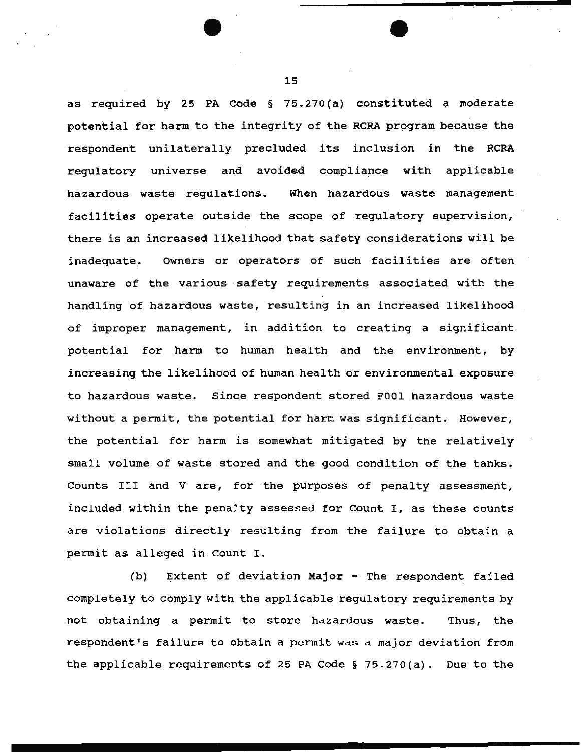as required by 25 PA Code§ 75.270(a) constituted a moderate potential for harm to the integrity of the RCRA program because the respondent unilaterally precluded its inclusion in the RCRA regulatory universe and avoided compliance with applicable hazardous waste regulations. When hazardous waste management facilities operate outside the scope of regulatory supervision, there is an increased likelihood that safety considerations will be inadequate. Owners or operators of such facilities are often unaware of the various ·safety requirements associated with the handling of hazardous waste, resulting in an increased likelihood of improper management, in addition to creating a significant potential for harm to human health and the environment, by increasing the likelihood of human health or environmental exposure to hazardous waste. Since respondent stored FOOl hazardous waste without a permit, the potential for harm was significant. However, the potential for harm is somewhat mitigated by the relatively small volume of waste stored and the good condition of the tanks. Counts III and V are, for the purposes of penalty assessment, included within the penalty assessed for Count I, as these counts are violations directly resulting from the failure to obtain a permit as alleged in Count I.

(b) Extent of deviation Major - The respondent failed completely to comply with the applicable regulatory requirements by not obtaining a permit to store hazardous waste. Thus, the respondent's failure to obtain a permit was a major deviation from the applicable requirements of 25 PA Code § 75.270(a). Due to the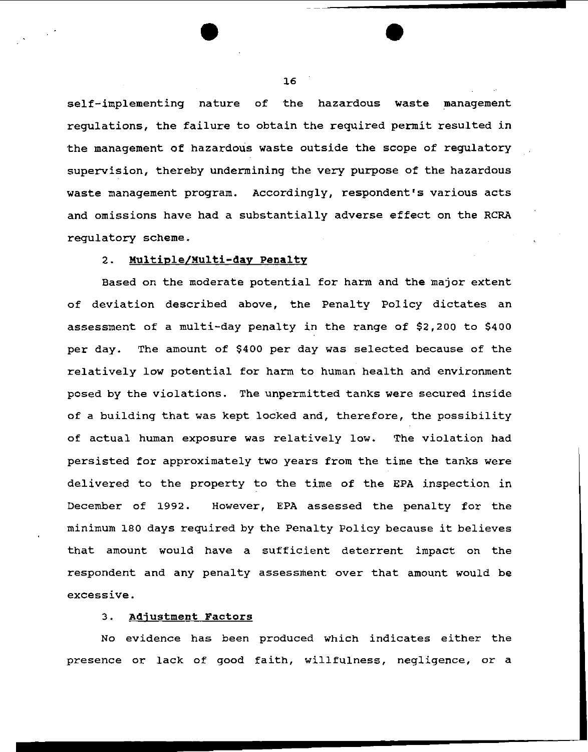self-implementing nature of the hazardous waste management regulations, the failure to obtain the required permit resulted in the management of hazardous waste outside the scope of regulatory supervision, thereby undermining the very purpose of the hazardous waste management program. Accordingly, respondent's various acts and omissions have had a substantially adverse effect on the RCRA regulatory scheme.

# 2. Multiple/Multi-day Penalty

Based on the moderate potential for harm and the major extent of deviation described above, the Penalty Policy dictates an assessment of a multi-day penalty *in* the range of \$2,200 to \$400 per day. The amount of \$400 per day was selected because of the relatively low potential for harm to human health and environment posed by the violations. The unpermitted tanks were secured inside of a building that was kept locked and, therefore, the possibility of actual human exposure was relatively low. The violation had persisted for approximately two years from the time the tanks were delivered to the property to the time of the EPA inspection in December of 1992. However, EPA assessed the penalty for the minimum 180 days required by the Penalty Policy because it believes that amount would have a sufficient deterrent impact on the respondent and any penalty assessment over that amount would be excessive.

### 3. Adjustment Factors

No evidence has been produced which indicates either the presence or lack of good faith, willfulness, negligence, or a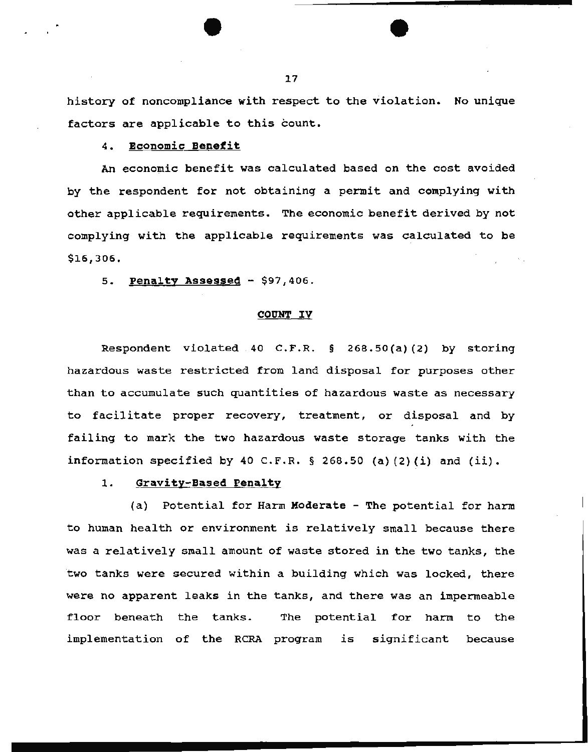history of noncompliance with respect to the violation. No unique factors are applicable to this count.

# 4. Economic Benefit

An economic benefit was calculated based on the cost avoided by the respondent for not obtaining a permit and complying with other applicable requirements. The economic benefit derived by not complying with the applicable requirements was calculated to be \$16,306.

5. Penalty Assessed - \$97,406.

#### COUNT IV

Respondent violated 40 C.F.R. § 268.50(a)(2) by storing hazardous waste restricted from land disposal for purposes other than to accumulate such quantities of hazardous waste as necessary to facilitate proper recovery, treatment, or disposal and by failing to mark the two hazardous waste storage tanks with the information specified by 40 C.F.R. § 268.50 (a) (2) (i) and *(ii).* 

### 1. Gravity-Based Penalty

(a) Potential for Harm Moderate - The potential for harm to human health or environment *is* relatively small because there was a relatively small amount of waste stored in the two tanks, the two tanks were secured within a building which was locked, there were no apparent leaks in the tanks, and there was an impermeable floor beneath the tanks. The potential for harm to the implementation of the RCRA program is significant because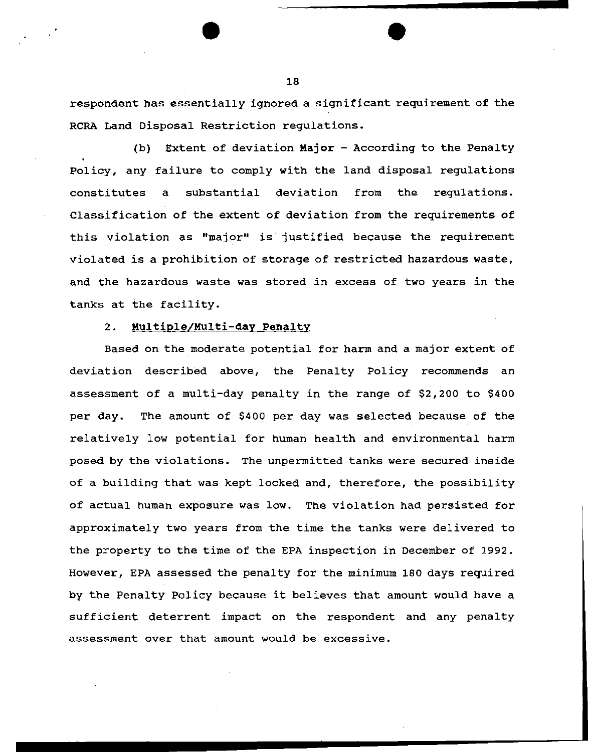respondent has essentially ignored a significant requirement of the RCRA Land Disposal Restriction regulations.

(b) Extent of deviation Major - According to the Penalty Policy, any failure to comply with the land disposal regulations constitutes a substantial deviation from the regulations. Classification of the extent of deviation from the requirements of this violation as "major" is justified because the requirement violated is a prohibition of storage of restricted hazardous waste, and the hazardous waste was stored in excess of two years in the tanks at the facility.

# 2. Multiple/Multi-day Penalty

Based on the moderate potential for harm and a major extent of deviation described above, the Penalty Policy recommends an assessment of a multi-day penalty in the range of \$2,200 to \$400 per day. The amount of \$400 per day was selected because of the relatively low potential for human health and environmental harm posed by the violations. The unpermitted tanks were secured inside of a building that was kept locked and, therefore, the possibility of actual human exposure was low. The violation had persisted for approximately two years from the time the tanks were delivered to the property to the time of the EPA inspection in December of 1992. However, EPA assessed the penalty for the minimum 180 days required by the Penalty Policy because it believes that amount would have a sufficient deterrent impact on the respondent and any penalty assessment over that amount would be excessive.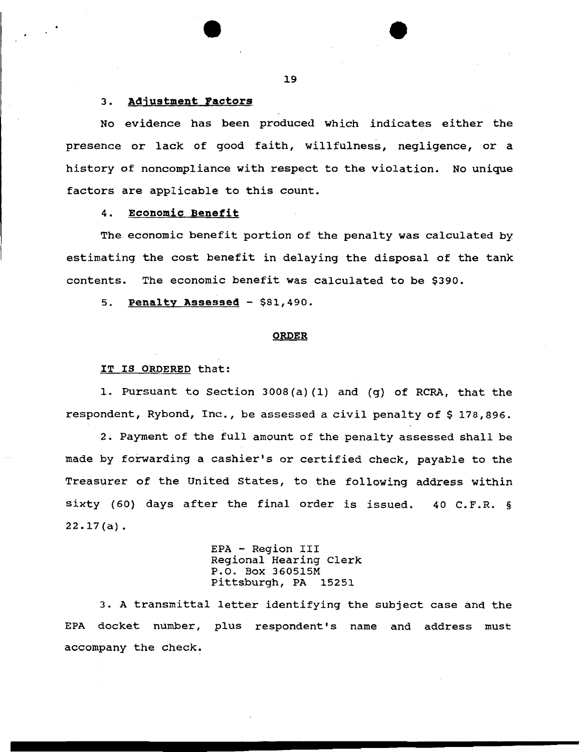#### 3. Adjustment Factors

No evidence has been produced which indicates either the presence or lack of good faith, willfulness, negligence, or a history of noncompliance with respect to the violation. No unique factors are applicable to this count.

## 4. Economic Benefit

The economic benefit portion of the penalty was calculated by estimating the cost benefit in delaying the disposal of the tank contents. The economic benefit was calculated to be \$390.

5. Penalty Assessed - \$81,490.

#### **ORDER**

#### IT IS ORDERED that:

1. Pursuant to Section 3008(a) (1) and (g) of RCRA, that the respondent, Rybond, Inc., be assessed a civil penalty of \$178,896.

2. Payment of the full amount of the penalty assessed shall be made by forwarding a cashier's or certified check, payable to the Treasurer of the United states, to the following address within sixty (60) days after the final order is issued. 40 C.P.R. § 22.17(a).

> EPA - Region III Regional Hearing Clerk P.O. Box 360515M Pittsburgh, PA 15251

3. A transmittal letter identifying the subject case and the EPA docket number, plus respondent's name and address must accompany the check.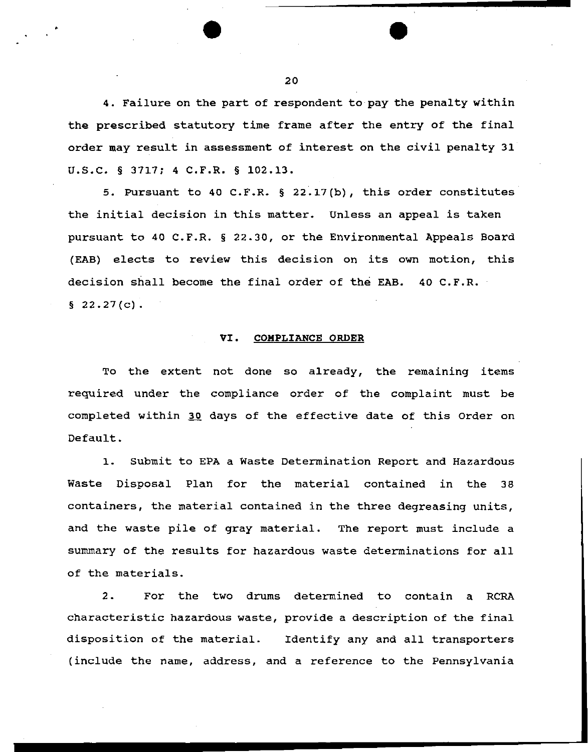4. Failure on the part of respondent to pay the penalty within the prescribed statutory time frame after the entry of the final order may result in assessment of interest on the civil penalty 31 U.S.C. § 3717; 4 C.F.R. § 102.13.

5. Pursuant to 40 c.F.R. § 22.17(b), this order constitutes the initial decision in this matter. Unless an appeal is taken pursuant to 40 C.F.R. § 22.30, or the Environmental Appeals Board (EAB) elects to review this decision on its own motion, this decision shall become the final order of the EAB. 40 C.F.R.  $§ 22.27(c)$ .

# VI. COMPLIANCE ORDER

To the extent not done so already, the remaining items required under the compliance order of the complaint must be completed within 30 days of the effective date of this Order on Default.

1. Submit to EPA a Waste Determination Report and Hazardous Waste Disposal Plan for the material contained in the 38 containers, the material contained in the three degreasing units, and the waste pile of gray material. The report must include a summary of the results for hazardous waste determinations for all of the materials.

2. For the two drums determined to contain a RCRA characteristic hazardous waste, provide a description of the final disposition of the material. Identify any and all transporters (include the name, address, and a reference to the Pennsylvania